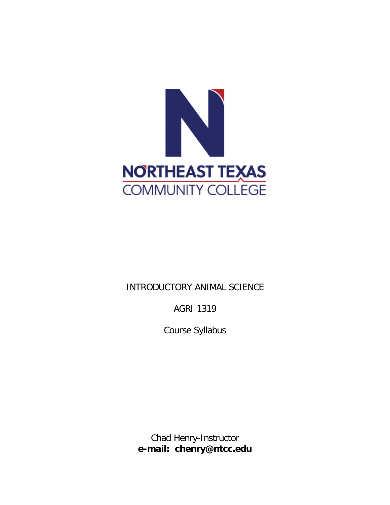

# INTRODUCTORY ANIMAL SCIENCE

AGRI 1319

Course Syllabus

Chad Henry-Instructor **e-mail: chenry@ntcc.edu**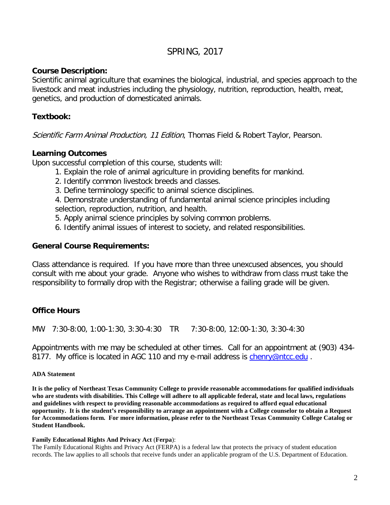# SPRING, 2017

# **Course Description:**

Scientific animal agriculture that examines the biological, industrial, and species approach to the livestock and meat industries including the physiology, nutrition, reproduction, health, meat, genetics, and production of domesticated animals.

# **Textbook:**

Scientific Farm Animal Production, 11 Edition, Thomas Field & Robert Taylor, Pearson.

# **Learning Outcomes**

Upon successful completion of this course, students will:

- 1. Explain the role of animal agriculture in providing benefits for mankind.
- 2. Identify common livestock breeds and classes.
- 3. Define terminology specific to animal science disciplines.

4. Demonstrate understanding of fundamental animal science principles including selection, reproduction, nutrition, and health.

- 5. Apply animal science principles by solving common problems.
- 6. Identify animal issues of interest to society, and related responsibilities.

### **General Course Requirements:**

Class attendance is required. If you have more than three unexcused absences, you should consult with me about your grade. Anyone who wishes to withdraw from class must take the responsibility to formally drop with the Registrar; otherwise a failing grade will be given.

# **Office Hours**

MW 7:30-8:00, 1:00-1:30, 3:30-4:30 TR 7:30-8:00, 12:00-1:30, 3:30-4:30

Appointments with me may be scheduled at other times. Call for an appointment at (903) 434- 8177. My office is located in AGC 110 and my e-mail address is *[chenry@ntcc.edu](mailto:chenry@ntcc.edu)*.

#### **ADA Statement**

**It is the policy of Northeast Texas Community College to provide reasonable accommodations for qualified individuals who are students with disabilities. This College will adhere to all applicable federal, state and local laws, regulations and guidelines with respect to providing reasonable accommodations as required to afford equal educational opportunity. It is the student's responsibility to arrange an appointment with a College counselor to obtain a Request for Accommodations form. For more information, please refer to the Northeast Texas Community College Catalog or Student Handbook.**

#### **Family Educational Rights And Privacy Act** (**Ferpa**):

The Family Educational Rights and Privacy Act (FERPA) is a federal law that protects the privacy of student education records. The law applies to all schools that receive funds under an applicable program of the U.S. Department of Education.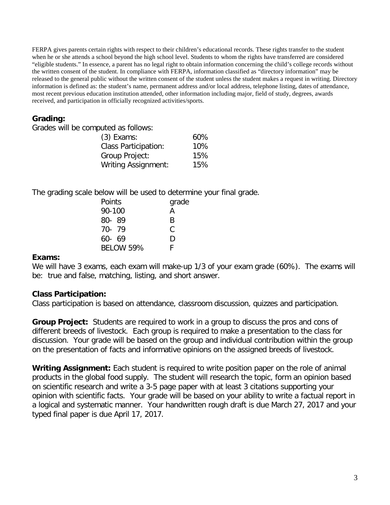FERPA gives parents certain rights with respect to their children's educational records. These rights transfer to the student when he or she attends a school beyond the high school level. Students to whom the rights have transferred are considered "eligible students." In essence, a parent has no legal right to obtain information concerning the child's college records without the written consent of the student. In compliance with FERPA, information classified as "directory information" may be released to the general public without the written consent of the student unless the student makes a request in writing. Directory information is defined as: the student's name, permanent address and/or local address, telephone listing, dates of attendance, most recent previous education institution attended, other information including major, field of study, degrees, awards received, and participation in officially recognized activities/sports.

# **Grading:**

| $(3)$ Exams:                | 60% |
|-----------------------------|-----|
| <b>Class Participation:</b> | 10% |
| Group Project:              | 15% |
| <b>Writing Assignment:</b>  | 15% |

The grading scale below will be used to determine your final grade.

| Points           | grade |
|------------------|-------|
| 90-100           | A     |
| 80-89            | R     |
| 70-79            | C     |
| $60 - 69$        | D     |
| <b>BELOW 59%</b> | L.    |

# **Exams:**

We will have 3 exams, each exam will make-up 1/3 of your exam grade (60%). The exams will be: true and false, matching, listing, and short answer.

# **Class Participation:**

Class participation is based on attendance, classroom discussion, quizzes and participation.

**Group Project:** Students are required to work in a group to discuss the pros and cons of different breeds of livestock. Each group is required to make a presentation to the class for discussion. Your grade will be based on the group and individual contribution within the group on the presentation of facts and informative opinions on the assigned breeds of livestock.

**Writing Assignment:** Each student is required to write position paper on the role of animal products in the global food supply. The student will research the topic, form an opinion based on scientific research and write a 3-5 page paper with at least 3 citations supporting your opinion with scientific facts. Your grade will be based on your ability to write a factual report in a logical and systematic manner. Your handwritten rough draft is due March 27, 2017 and your typed final paper is due April 17, 2017.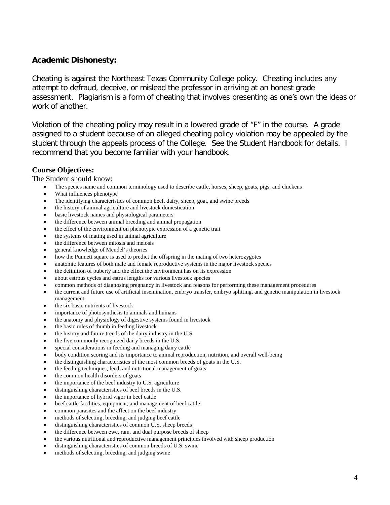# **Academic Dishonesty:**

Cheating is against the Northeast Texas Community College policy. Cheating includes any attempt to defraud, deceive, or mislead the professor in arriving at an honest grade assessment. Plagiarism is a form of cheating that involves presenting as one's own the ideas or work of another.

Violation of the cheating policy may result in a lowered grade of "F" in the course. A grade assigned to a student because of an alleged cheating policy violation may be appealed by the student through the appeals process of the College. See the Student Handbook for details. I recommend that you become familiar with your handbook.

#### **Course Objectives:**

The Student should know:

- The species name and common terminology used to describe cattle, horses, sheep, goats, pigs, and chickens
- What influences phenotype
- The identifying characteristics of common beef, dairy, sheep, goat, and swine breeds
- the history of animal agriculture and livestock domestication
- basic livestock names and physiological parameters
- the difference between animal breeding and animal propagation
- the effect of the environment on phenotypic expression of a genetic trait
- the systems of mating used in animal agriculture
- the difference between mitosis and meiosis
- general knowledge of Mendel's theories
- how the Punnett square is used to predict the offspring in the mating of two heterozygotes
- anatomic features of both male and female reproductive systems in the major livestock species
- the definition of puberty and the effect the environment has on its expression
- about estrous cycles and estrus lengths for various livestock species
- common methods of diagnosing pregnancy in livestock and reasons for performing these management procedures
- the current and future use of artificial insemination, embryo transfer, embryo splitting, and genetic manipulation in livestock management
- the six basic nutrients of livestock
- importance of photosynthesis to animals and humans
- the anatomy and physiology of digestive systems found in livestock
- the basic rules of thumb in feeding livestock
- the history and future trends of the dairy industry in the U.S.
- the five commonly recognized dairy breeds in the U.S.
- special considerations in feeding and managing dairy cattle
- body condition scoring and its importance to animal reproduction, nutrition, and overall well-being
- the distinguishing characteristics of the most common breeds of goats in the U.S.
- the feeding techniques, feed, and nutritional management of goats
- the common health disorders of goats
- the importance of the beef industry to U.S. agriculture
- distinguishing characteristics of beef breeds in the U.S.
- the importance of hybrid vigor in beef cattle
- beef cattle facilities, equipment, and management of beef cattle
- common parasites and the affect on the beef industry
- methods of selecting, breeding, and judging beef cattle
- distinguishing characteristics of common U.S. sheep breeds
- the difference between ewe, ram, and dual purpose breeds of sheep
- the various nutritional and reproductive management principles involved with sheep production
- distinguishing characteristics of common breeds of U.S. swine
- methods of selecting, breeding, and judging swine